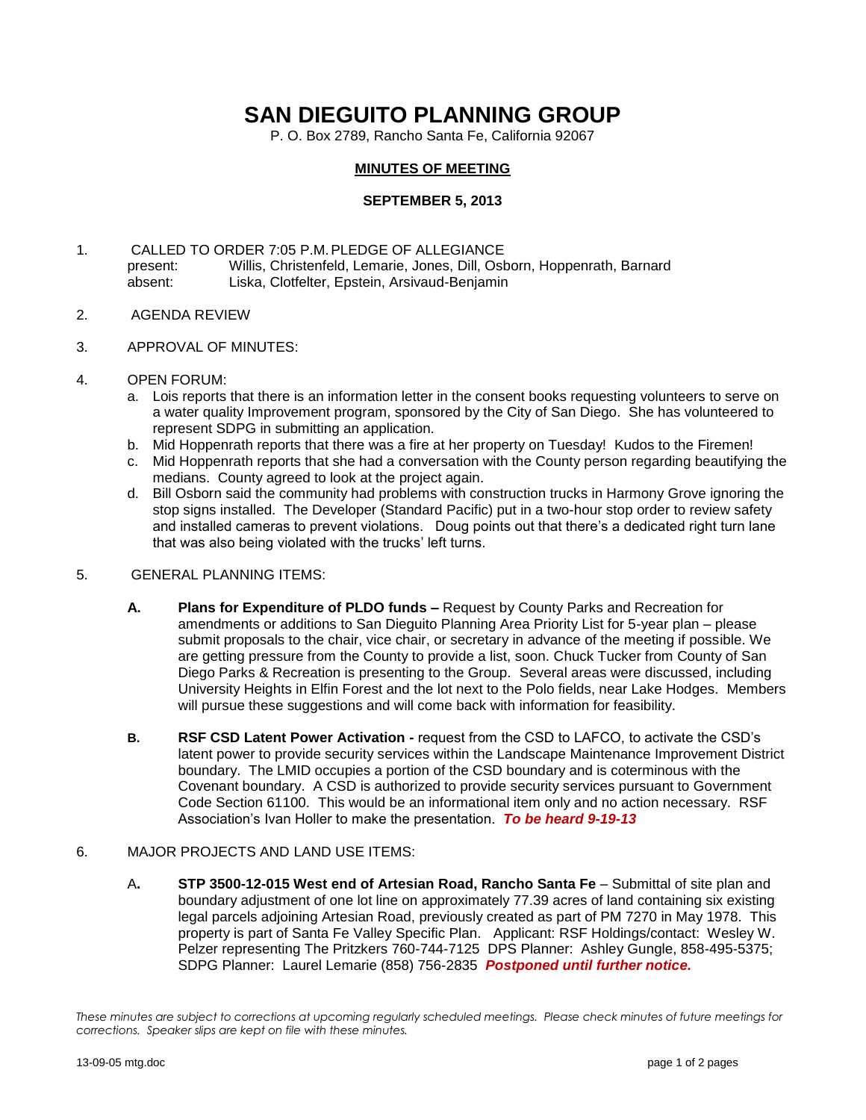# **SAN DIEGUITO PLANNING GROUP**

P. O. Box 2789, Rancho Santa Fe, California 92067

## **MINUTES OF MEETING**

## **SEPTEMBER 5, 2013**

- 1. CALLED TO ORDER 7:05 P.M.PLEDGE OF ALLEGIANCE present: Willis, Christenfeld, Lemarie, Jones, Dill, Osborn, Hoppenrath, Barnard<br>absent: Liska, Clotfelter, Epstein, Arsivaud-Beniamin Liska, Clotfelter, Epstein, Arsivaud-Benjamin
- 2. AGENDA REVIEW
- 3. APPROVAL OF MINUTES:
- 4. OPEN FORUM:
	- a. Lois reports that there is an information letter in the consent books requesting volunteers to serve on a water quality Improvement program, sponsored by the City of San Diego. She has volunteered to represent SDPG in submitting an application.
	- b. Mid Hoppenrath reports that there was a fire at her property on Tuesday! Kudos to the Firemen!
	- c. Mid Hoppenrath reports that she had a conversation with the County person regarding beautifying the medians. County agreed to look at the project again.
	- d. Bill Osborn said the community had problems with construction trucks in Harmony Grove ignoring the stop signs installed. The Developer (Standard Pacific) put in a two-hour stop order to review safety and installed cameras to prevent violations. Doug points out that there's a dedicated right turn lane that was also being violated with the trucks' left turns.

#### 5. GENERAL PLANNING ITEMS:

- **A. Plans for Expenditure of PLDO funds –** Request by County Parks and Recreation for amendments or additions to San Dieguito Planning Area Priority List for 5-year plan – please submit proposals to the chair, vice chair, or secretary in advance of the meeting if possible. We are getting pressure from the County to provide a list, soon. Chuck Tucker from County of San Diego Parks & Recreation is presenting to the Group. Several areas were discussed, including University Heights in Elfin Forest and the lot next to the Polo fields, near Lake Hodges. Members will pursue these suggestions and will come back with information for feasibility.
- **B. RSF CSD Latent Power Activation -** request from the CSD to LAFCO, to activate the CSD's latent power to provide security services within the Landscape Maintenance Improvement District boundary. The LMID occupies a portion of the CSD boundary and is coterminous with the Covenant boundary. A CSD is authorized to provide security services pursuant to Government Code Section 61100. This would be an informational item only and no action necessary. RSF Association's Ivan Holler to make the presentation. *To be heard 9-19-13*

## 6. MAJOR PROJECTS AND LAND USE ITEMS:

A**. STP 3500-12-015 West end of Artesian Road, Rancho Santa Fe** – Submittal of site plan and boundary adjustment of one lot line on approximately 77.39 acres of land containing six existing legal parcels adjoining Artesian Road, previously created as part of PM 7270 in May 1978. This property is part of Santa Fe Valley Specific Plan.Applicant: RSF Holdings/contact: Wesley W. Pelzer representing The Pritzkers 760-744-7125 DPS Planner: Ashley Gungle, 858-495-5375; SDPG Planner: Laurel Lemarie (858) 756-2835 *Postponed until further notice.*

*These minutes are subject to corrections at upcoming regularly scheduled meetings. Please check minutes of future meetings for corrections. Speaker slips are kept on file with these minutes.*